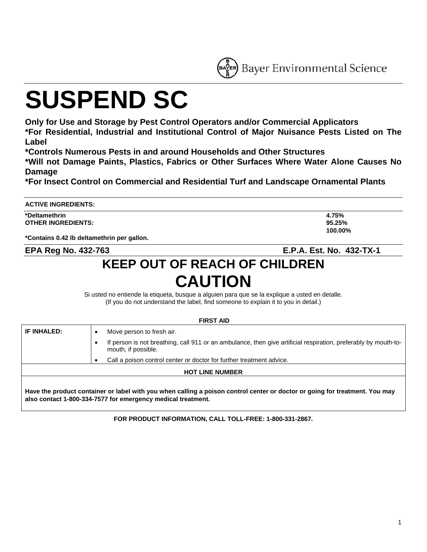ER Bayer Environmental Science

# **SUSPEND SC**

**Only for Use and Storage by Pest Control Operators and/or Commercial Applicators** 

**\*For Residential, Industrial and Institutional Control of Major Nuisance Pests Listed on The Label** 

**\*Controls Numerous Pests in and around Households and Other Structures** 

**\*Will not Damage Paints, Plastics, Fabrics or Other Surfaces Where Water Alone Causes No Damage** 

**\*For Insect Control on Commercial and Residential Turf and Landscape Ornamental Plants** 

#### **ACTIVE INGREDIENTS:**

**\*Deltamethrin 4.75% OTHER INGREDIENTS: 95.25%** 

**\*Contains 0.42 lb deltamethrin per gallon.** 

**also contact 1-800-334-7577 for emergency medical treatment.** 

**EPA Reg No. 432-763 E.P.A. Est. No. 432-TX-1** 

# **KEEP OUT OF REACH OF CHILDREN CAUTION**

Si usted no entiende la etiqueta, busque a alguien para que se la explique a usted en detalle. (If you do not understand the label, find someone to explain it to you in detail.)

**FIRST AID** 

| FIRJI AIV          |                                                                                                                                                     |  |  |  |
|--------------------|-----------------------------------------------------------------------------------------------------------------------------------------------------|--|--|--|
| <b>IF INHALED:</b> | Move person to fresh air.                                                                                                                           |  |  |  |
|                    | If person is not breathing, call 911 or an ambulance, then give artificial respiration, preferably by mouth-to-<br>$\bullet$<br>mouth, if possible. |  |  |  |
|                    | Call a poison control center or doctor for further treatment advice.<br>٠                                                                           |  |  |  |
|                    | <b>HOT LINE NUMBER</b>                                                                                                                              |  |  |  |
|                    | Have the product container or label with you when calling a poison control center or doctor or going for treatment. You may                         |  |  |  |

**FOR PRODUCT INFORMATION, CALL TOLL-FREE: 1-800-331-2867.** 

**100.00%**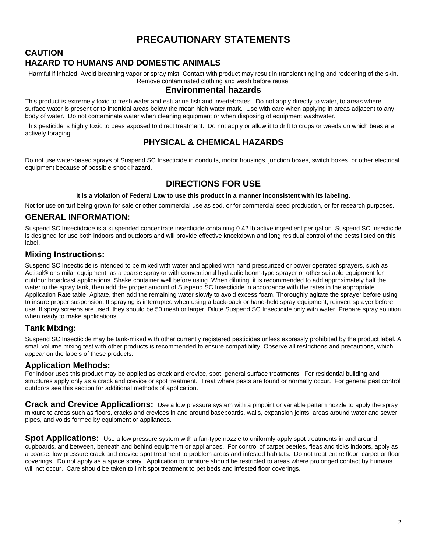# **PRECAUTIONARY STATEMENTS**

**CAUTION** 

# **HAZARD TO HUMANS AND DOMESTIC ANIMALS**

Harmful if inhaled. Avoid breathing vapor or spray mist. Contact with product may result in transient tingling and reddening of the skin. Remove contaminated clothing and wash before reuse.

#### **Environmental hazards**

This product is extremely toxic to fresh water and estuarine fish and invertebrates. Do not apply directly to water, to areas where surface water is present or to intertidal areas below the mean high water mark. Use with care when applying in areas adjacent to any body of water. Do not contaminate water when cleaning equipment or when disposing of equipment washwater.

This pesticide is highly toxic to bees exposed to direct treatment. Do not apply or allow it to drift to crops or weeds on which bees are actively foraging.

# **PHYSICAL & CHEMICAL HAZARDS**

Do not use water-based sprays of Suspend SC Insecticide in conduits, motor housings, junction boxes, switch boxes, or other electrical equipment because of possible shock hazard.

# **DIRECTIONS FOR USE**

**It is a violation of Federal Law to use this product in a manner inconsistent with its labeling.** 

Not for use on turf being grown for sale or other commercial use as sod, or for commercial seed production, or for research purposes.

## **GENERAL INFORMATION:**

Suspend SC Insectidcide is a suspended concentrate insecticide containing 0.42 lb active ingredient per gallon. Suspend SC Insecticide is designed for use both indoors and outdoors and will provide effective knockdown and long residual control of the pests listed on this label.

## **Mixing Instructions:**

Suspend SC Insecticide is intended to be mixed with water and applied with hand pressurized or power operated sprayers, such as Actisol® or similar equipment, as a coarse spray or with conventional hydraulic boom-type sprayer or other suitable equipment for outdoor broadcast applications. Shake container well before using. When diluting, it is recommended to add approximately half the water to the spray tank, then add the proper amount of Suspend SC Insecticide in accordance with the rates in the appropriate Application Rate table. Agitate, then add the remaining water slowly to avoid excess foam. Thoroughly agitate the sprayer before using to insure proper suspension. If spraying is interrupted when using a back-pack or hand-held spray equipment, reinvert sprayer before use. If spray screens are used, they should be 50 mesh or larger. Dilute Suspend SC Insecticide only with water. Prepare spray solution when ready to make applications.

# **Tank Mixing:**

Suspend SC Insecticide may be tank-mixed with other currently registered pesticides unless expressly prohibited by the product label. A small volume mixing test with other products is recommended to ensure compatibility. Observe all restrictions and precautions, which appear on the labels of these products.

# **Application Methods:**

For indoor uses this product may be applied as crack and crevice, spot, general surface treatments. For residential building and structures apply only as a crack and crevice or spot treatment. Treat where pests are found or normally occur. For general pest control outdoors see this section for additional methods of application.

**Crack and Crevice Applications:** Use a low pressure system with a pinpoint or variable pattern nozzle to apply the spray mixture to areas such as floors, cracks and crevices in and around baseboards, walls, expansion joints, areas around water and sewer pipes, and voids formed by equipment or appliances.

**Spot Applications:** Use a low pressure system with a fan-type nozzle to uniformly apply spot treatments in and around cupboards, and between, beneath and behind equipment or appliances. For control of carpet beetles, fleas and ticks indoors, apply as a coarse, low pressure crack and crevice spot treatment to problem areas and infested habitats. Do not treat entire floor, carpet or floor coverings. Do not apply as a space spray. Application to furniture should be restricted to areas where prolonged contact by humans will not occur. Care should be taken to limit spot treatment to pet beds and infested floor coverings.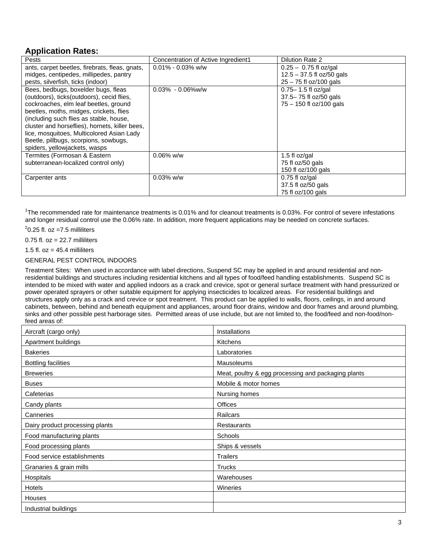# **Application Rates:**

| Pests                                          | Concentration of Active Ingredient1 | <b>Dilution Rate 2</b>      |
|------------------------------------------------|-------------------------------------|-----------------------------|
| ants, carpet beetles, firebrats, fleas, gnats, | $0.01\% - 0.03\%$ w/w               | $0.25 - 0.75$ fl oz/gal     |
| midges, centipedes, millipedes, pantry         |                                     | $12.5 - 37.5$ fl oz/50 gals |
| pests, silverfish, ticks (indoor)              |                                     | $25 - 75$ fl oz/100 gals    |
| Bees, bedbugs, boxelder bugs, fleas            | $0.03\% - 0.06\%$ w/w               | $0.75 - 1.5$ fl oz/gal      |
| (outdoors), ticks(outdoors), cecid flies,      |                                     | 37.5-75 fl oz/50 gals       |
| cockroaches, elm leaf beetles, ground          |                                     | $75 - 150$ fl oz/100 gals   |
| beetles, moths, midges, crickets, flies        |                                     |                             |
| (including such flies as stable, house,        |                                     |                             |
| cluster and horseflies), hornets, killer bees, |                                     |                             |
| lice, mosquitoes, Multicolored Asian Lady      |                                     |                             |
| Beetle, pillbugs, scorpions, sowbugs,          |                                     |                             |
| spiders, yellowjackets, wasps                  |                                     |                             |
| Termites (Formosan & Eastern                   | $0.06\%$ w/w                        | 1.5 fl oz/gal               |
| subterranean-localized control only)           |                                     | 75 fl oz/50 gals            |
|                                                |                                     | 150 fl oz/100 gals          |
| Carpenter ants                                 | $0.03\%$ w/w                        | $0.75$ fl oz/gal            |
|                                                |                                     | 37.5 fl oz/50 gals          |
|                                                |                                     | 75 fl oz/100 gals           |

<sup>1</sup>The recommended rate for maintenance treatments is 0.01% and for cleanout treatments is 0.03%. For control of severe infestations and longer residual control use the 0.06% rate. In addition, more frequent applications may be needed on concrete surfaces.

 $2$ 0.25 fl. oz =7.5 milliliters

 $0.75$  fl.  $oz = 22.7$  milliliters

1.5 fl.  $oz = 45.4$  milliliters

GENERAL PEST CONTROL INDOORS

Treatment Sites: When used in accordance with label directions, Suspend SC may be applied in and around residential and nonresidential buildings and structures including residential kitchens and all types of food/feed handling establishments. Suspend SC is intended to be mixed with water and applied indoors as a crack and crevice, spot or general surface treatment with hand pressurized or power operated sprayers or other suitable equipment for applying insecticides to localized areas. For residential buildings and structures apply only as a crack and crevice or spot treatment. This product can be applied to walls, floors, ceilings, in and around cabinets, between, behind and beneath equipment and appliances, around floor drains, window and door frames and around plumbing, sinks and other possible pest harborage sites. Permitted areas of use include, but are not limited to, the food/feed and non-food/nonfeed areas of:

| Aircraft (cargo only)           | Installations                                       |  |  |
|---------------------------------|-----------------------------------------------------|--|--|
| Apartment buildings             | <b>Kitchens</b>                                     |  |  |
| <b>Bakeries</b>                 | Laboratories                                        |  |  |
| <b>Bottling facilities</b>      | Mausoleums                                          |  |  |
| <b>Breweries</b>                | Meat, poultry & egg processing and packaging plants |  |  |
| <b>Buses</b>                    | Mobile & motor homes                                |  |  |
| Cafeterias                      | Nursing homes                                       |  |  |
| Candy plants                    | Offices                                             |  |  |
| Canneries                       | Railcars                                            |  |  |
| Dairy product processing plants | Restaurants                                         |  |  |
| Food manufacturing plants       | Schools                                             |  |  |
| Food processing plants          | Ships & vessels                                     |  |  |
| Food service establishments     | <b>Trailers</b>                                     |  |  |
| Granaries & grain mills         | <b>Trucks</b>                                       |  |  |
| Hospitals                       | Warehouses                                          |  |  |
| Hotels                          | Wineries                                            |  |  |
| Houses                          |                                                     |  |  |
| Industrial buildings            |                                                     |  |  |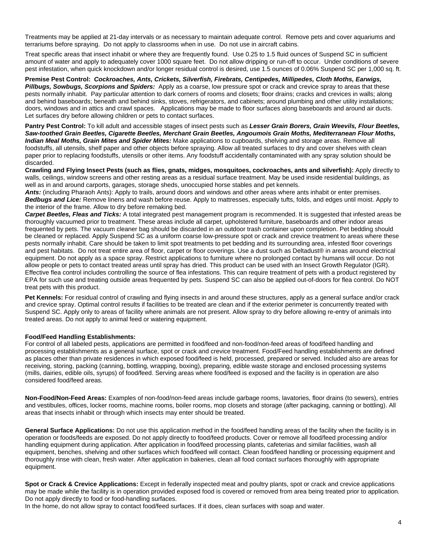Treatments may be applied at 21-day intervals or as necessary to maintain adequate control. Remove pets and cover aquariums and terrariums before spraying. Do not apply to classrooms when in use. Do not use in aircraft cabins.

Treat specific areas that insect inhabit or where they are frequently found. Use 0.25 to 1.5 fluid ounces of Suspend SC in sufficient amount of water and apply to adequately cover 1000 square feet. Do not allow dripping or run-off to occur. Under conditions of severe pest infestation, when quick knockdown and/or longer residual control is desired, use 1.5 ounces of 0.06% Suspend SC per 1,000 sq. ft.

**Premise Pest Control:** *Cockroaches, Ants, Crickets, Silverfish, Firebrats, Centipedes, Millipedes, Cloth Moths, Earwigs, Pillbugs, Sowbugs, Scorpions and Spiders:* Apply as a coarse, low pressure spot or crack and crevice spray to areas that these pests normally inhabit. Pay particular attention to dark corners of rooms and closets; floor drains; cracks and crevices in walls; along and behind baseboards; beneath and behind sinks, stoves, refrigerators, and cabinets; around plumbing and other utility installations; doors, windows and in attics and crawl spaces. Applications may be made to floor surfaces along baseboards and around air ducts. Let surfaces dry before allowing children or pets to contact surfaces.

**Pantry Pest Control:** To kill adult and accessible stages of insect pests such as *Lesser Grain Borers, Grain Weevils, Flour Beetles, Saw-toothed Grain Beetles, Cigarette Beetles, Merchant Grain Beetles, Angoumois Grain Moths, Mediterranean Flour Moths, Indian Meal Moths, Grain Mites and Spider Mites:* Make applications to cupboards, shelving and storage areas. Remove all foodstuffs, all utensils, shelf paper and other objects before spraying. Allow all treated surfaces to dry and cover shelves with clean paper prior to replacing foodstuffs, utensils or other items. Any foodstuff accidentally contaminated with any spray solution should be discarded.

**Crawling and Flying Insect Pests (such as flies, gnats, midges, mosquitoes, cockroaches, ants and silverfish):** Apply directly to walls, ceilings, window screens and other resting areas as a residual surface treatment. May be used inside residential buildings, as well as in and around carports, garages, storage sheds, unoccupied horse stables and pet kennels.

Ants: (including Pharaoh Ants): Apply to trails, around doors and windows and other areas where ants inhabit or enter premises. *Bedbugs and Lice:* Remove linens and wash before reuse. Apply to mattresses, especially tufts, folds, and edges until moist. Apply to the interior of the frame. Allow to dry before remaking bed.

*Carpet Beetles, Fleas and Ticks:* A total integrated pest management program is recommended. It is suggested that infested areas be thoroughly vacuumed prior to treatment. These areas include all carpet, upholstered furniture, baseboards and other indoor areas frequented by pets. The vacuum cleaner bag should be discarded in an outdoor trash container upon completion. Pet bedding should be cleaned or replaced. Apply Suspend SC as a uniform coarse low-pressure spot or crack and crevice treatment to areas where these pests normally inhabit. Care should be taken to limit spot treatments to pet bedding and its surrounding area, infested floor coverings and pest habitats. Do not treat entire area of floor, carpet or floor coverings. Use a dust such as Deltadust® in areas around electrical equipment. Do not apply as a space spray. Restrict applications to furniture where no prolonged contact by humans will occur. Do not allow people or pets to contact treated areas until spray has dried. This product can be used with an Insect Growth Regulator (IGR). Effective flea control includes controlling the source of flea infestations. This can require treatment of pets with a product registered by EPA for such use and treating outside areas frequented by pets. Suspend SC can also be applied out-of-doors for flea control. Do NOT treat pets with this product.

**Pet Kennels:** For residual control of crawling and flying insects in and around these structures, apply as a general surface and/or crack and crevice spray. Optimal control results if facilities to be treated are clean and if the exterior perimeter is concurrently treated with Suspend SC. Apply only to areas of facility where animals are not present. Allow spray to dry before allowing re-entry of animals into treated areas. Do not apply to animal feed or watering equipment.

#### **Food/Feed Handling Establishments:**

For control of all labeled pests, applications are permitted in food/feed and non-food/non-feed areas of food/feed handling and processing establishments as a general surface, spot or crack and crevice treatment. Food/Feed handling establishments are defined as places other than private residences in which exposed food/feed is held, processed, prepared or served. Included also are areas for receiving, storing, packing (canning, bottling, wrapping, boxing), preparing, edible waste storage and enclosed processing systems (mills, dairies, edible oils, syrups) of food/feed. Serving areas where food/feed is exposed and the facility is in operation are also considered food/feed areas.

**Non-Food/Non-Feed Areas:** Examples of non-food/non-feed areas include garbage rooms, lavatories, floor drains (to sewers), entries and vestibules, offices, locker rooms, machine rooms, boiler rooms, mop closets and storage (after packaging, canning or bottling). All areas that insects inhabit or through which insects may enter should be treated.

**General Surface Applications:** Do not use this application method in the food/feed handling areas of the facility when the facility is in operation or foods/feeds are exposed. Do not apply directly to food/feed products. Cover or remove all food/feed processing and/or handling equipment during application. After application in food/feed processing plants, cafeterias and similar facilities, wash all equipment, benches, shelving and other surfaces which food/feed will contact. Clean food/feed handling or processing equipment and thoroughly rinse with clean, fresh water. After application in bakeries, clean all food contact surfaces thoroughly with appropriate equipment.

**Spot or Crack & Crevice Applications:** Except in federally inspected meat and poultry plants, spot or crack and crevice applications may be made while the facility is in operation provided exposed food is covered or removed from area being treated prior to application. Do not apply directly to food or food-handling surfaces.

In the home, do not allow spray to contact food/feed surfaces. If it does, clean surfaces with soap and water.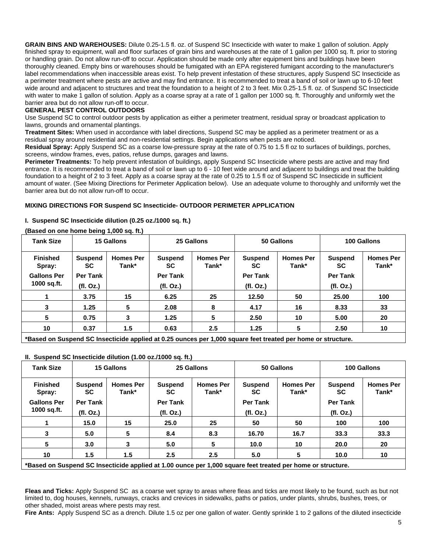**GRAIN BINS AND WAREHOUSES:** Dilute 0.25-1.5 fl. oz. of Suspend SC Insecticide with water to make 1 gallon of solution. Apply finished spray to equipment, wall and floor surfaces of grain bins and warehouses at the rate of 1 gallon per 1000 sq. ft. prior to storing or handling grain. Do not allow run-off to occur. Application should be made only after equipment bins and buildings have been thoroughly cleaned. Empty bins or warehouses should be fumigated with an EPA registered fumigant according to the manufacturer's label recommendations when inaccessible areas exist. To help prevent infestation of these structures, apply Suspend SC Insecticide as a perimeter treatment where pests are active and may find entrance. It is recommended to treat a band of soil or lawn up to 6-10 feet wide around and adjacent to structures and treat the foundation to a height of 2 to 3 feet. Mix 0.25-1.5 fl. oz. of Suspend SC Insecticide with water to make 1 gallon of solution. Apply as a coarse spray at a rate of 1 gallon per 1000 sq. ft. Thoroughly and uniformly wet the barrier area but do not allow run-off to occur.

#### **GENERAL PEST CONTROL OUTDOORS**

Use Suspend SC to control outdoor pests by application as either a perimeter treatment, residual spray or broadcast application to lawns, grounds and ornamental plantings.

**Treatment Sites:** When used in accordance with label directions, Suspend SC may be applied as a perimeter treatment or as a residual spray around residential and non-residential settings. Begin applications when pests are noticed.

**Residual Spray:** Apply Suspend SC as a coarse low-pressure spray at the rate of 0.75 to 1.5 fl oz to surfaces of buildings, porches, screens, window frames, eves, patios, refuse dumps, garages and lawns.

**Perimeter Treatments:** To help prevent infestation of buildings, apply Suspend SC Insecticide where pests are active and may find entrance. It is recommended to treat a band of soil or lawn up to 6 - 10 feet wide around and adjacent to buildings and treat the building foundation to a height of 2 to 3 feet. Apply as a coarse spray at the rate of 0.25 to 1.5 fl oz of Suspend SC Insecticide in sufficient amount of water. (See Mixing Directions for Perimeter Application below). Use an adequate volume to thoroughly and uniformly wet the barrier area but do not allow run-off to occur.

#### **MIXING DIRECTIONS FOR Suspend SC Insecticide- OUTDOOR PERIMETER APPLICATION**

#### **I. Suspend SC Insecticide dilution (0.25 oz./1000 sq. ft.)**

#### **Tank Size 15 Gallons 25 Gallons 50 Gallons 100 Gallons Finished Spray: Gallons Per 1000 sq.ft. Suspend SC Per Tank (fl. Oz.) Homes Per Tank\* Suspend SC Per Tank (fl. Oz.) Homes Per Tank\* Suspend SC Per Tank (fl. Oz.) Homes Per Tank\* Suspend SC Per Tank (fl. Oz.) Homes Per 1 3.75 15 6.25 25 12.50 50 25.00 100 3** | 1.25 | 5 | 2.08 | 8 | 4.17 | 16 | 8.33 | 33 **5 0.75 3 1.25 5 2.50 10 5.00 20**  10 | 0.37 | 1.5 | 0.63 | 2.5 | 1.25 | 5 | 2.50 | 10

#### **(Based on one home being 1,000 sq. ft.)**

**\*Based on Suspend SC Insecticide applied at 0.25 ounces per 1,000 square feet treated per home or structure.** 

#### **II. Suspend SC Insecticide dilution (1.00 oz./1000 sq. ft.)**

| <b>Tank Size</b>                                                                                            |                                         | 15 Gallons                |                                         | 25 Gallons                |                                   | 50 Gallons                |                                                | 100 Gallons               |
|-------------------------------------------------------------------------------------------------------------|-----------------------------------------|---------------------------|-----------------------------------------|---------------------------|-----------------------------------|---------------------------|------------------------------------------------|---------------------------|
| <b>Finished</b><br>Spray:<br><b>Gallons Per</b><br>1000 sq.ft.                                              | <b>Suspend</b><br><b>SC</b><br>Per Tank | <b>Homes Per</b><br>Tank* | <b>Suspend</b><br><b>SC</b><br>Per Tank | <b>Homes Per</b><br>Tank* | <b>Suspend</b><br>SC.<br>Per Tank | <b>Homes Per</b><br>Tank* | <b>Suspend</b><br><b>SC</b><br><b>Per Tank</b> | <b>Homes Per</b><br>Tank* |
|                                                                                                             | (fl. Oz.)                               |                           | (fl. Oz.)                               |                           | (fl. Oz.)                         |                           | (fl. Oz.)                                      |                           |
|                                                                                                             | 15.0                                    | 15                        | 25.0                                    | 25                        | 50                                | 50                        | 100                                            | 100                       |
| 3                                                                                                           | 5.0                                     | 5                         | 8.4                                     | 8.3                       | 16.70                             | 16.7                      | 33.3                                           | 33.3                      |
| 5                                                                                                           | 3.0                                     | 3                         | 5.0                                     | 5                         | 10.0                              | 10                        | 20.0                                           | 20                        |
| 10                                                                                                          | 1.5                                     | 1.5                       | 2.5                                     | 2.5                       | 5.0                               | 5                         | 10.0                                           | 10                        |
| *Based on Suspend SC Insecticide applied at 1.00 ounce per 1,000 square feet treated per home or structure. |                                         |                           |                                         |                           |                                   |                           |                                                |                           |

**Fleas and Ticks:** Apply Suspend SC as a coarse wet spray to areas where fleas and ticks are most likely to be found, such as but not limited to, dog houses, kennels, runways, cracks and crevices in sidewalks, paths or patios, under plants, shrubs, bushes, trees, or other shaded, moist areas where pests may rest.

**Fire Ants:** Apply Suspend SC as a drench. Dilute 1.5 oz per one gallon of water. Gently sprinkle 1 to 2 gallons of the diluted insecticide

**Tank\***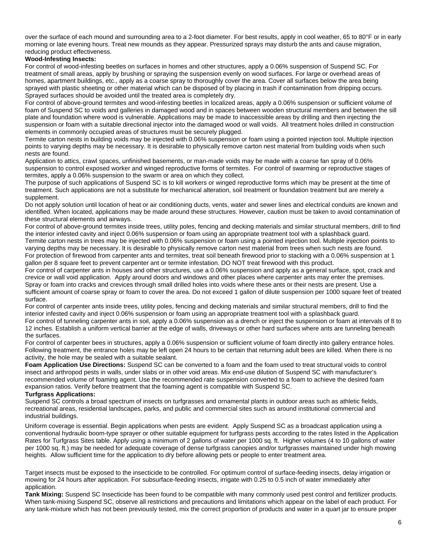over the surface of each mound and surrounding area to a 2-foot diameter. For best results, apply in cool weather, 65 to 80°F or in early morning or late evening hours. Treat new mounds as they appear. Pressurized sprays may disturb the ants and cause migration, reducing product effectiveness.

#### **Wood-Infesting Insects:**

For control of wood-infesting beetles on surfaces in homes and other structures, apply a 0.06% suspension of Suspend SC. For treatment of small areas, apply by brushing or spraying the suspension evenly on wood surfaces. For large or overhead areas of homes, apartment buildings, etc., apply as a coarse spray to thoroughly cover the area. Cover all surfaces below the area being sprayed with plastic sheeting or other material which can be disposed of by placing in trash if contamination from dripping occurs. Sprayed surfaces should be avoided until the treated area is completely dry.

For control of above-ground termites and wood-infesting beetles in localized areas, apply a 0.06% suspension or sufficient volume of foam of Suspend SC to voids and galleries in damaged wood and in spaces between wooden structural members and between the sill plate and foundation where wood is vulnerable. Applications may be made to inaccessible areas by drilling and then injecting the suspension or foam with a suitable directional injector into the damaged wood or wall voids. All treatment holes drilled in construction elements in commonly occupied areas of structures must be securely plugged.

Termite carton nests in building voids may be injected with 0.06% suspension or foam using a pointed injection tool. Multiple injection points to varying depths may be necessary. It is desirable to physically remove carton nest material from building voids when such nests are found.

Application to attics, crawl spaces, unfinished basements, or man-made voids may be made with a coarse fan spray of 0.06% suspension to control exposed worker and winged reproductive forms of termites. For control of swarming or reproductive stages of termites, apply a 0.06% suspension to the swarm or area on which they collect.

The purpose of such applications of Suspend SC is to kill workers or winged reproductive forms which may be present at the time of treatment. Such applications are not a substitute for mechanical alteration, soil treatment or foundation treatment but are merely a supplement.

Do not apply solution until location of heat or air conditioning ducts, vents, water and sewer lines and electrical conduits are known and identified. When located, applications may be made around these structures. However, caution must be taken to avoid contamination of these structural elements and airways.

For control of above-ground termites inside trees, utility poles, fencing and decking materials and similar structural members, drill to find the interior infested cavity and inject 0.06% suspension or foam using an appropriate treatment tool with a splashback guard. Termite carton nests in trees may be injected with 0.06% suspension or foam using a pointed injection tool. Multiple injection points to

varying depths may be necessary. It is desirable to physically remove carton nest material from trees when such nests are found. For protection of firewood from carpenter ants and termites, treat soil beneath firewood prior to stacking with a 0.06% suspension at 1 gallon per 8 square feet to prevent carpenter ant or termite infestation. DO NOT treat firewood with this product.

For control of carpenter ants in houses and other structures, use a 0.06% suspension and apply as a general surface, spot, crack and crevice or wall void application. Apply around doors and windows and other places where carpenter ants may enter the premises. Spray or foam into cracks and crevices through small drilled holes into voids where these ants or their nests are present. Use a sufficient amount of coarse spray or foam to cover the area. Do not exceed 1 gallon of dilute suspension per 1000 square feet of treated surface.

For control of carpenter ants inside trees, utility poles, fencing and decking materials and similar structural members, drill to find the interior infested cavity and inject 0.06% suspension or foam using an appropriate treatment tool with a splashback guard.

For control of tunneling carpenter ants in soil, apply a 0.06% suspension as a drench or inject the suspension or foam at intervals of 8 to 12 inches. Establish a uniform vertical barrier at the edge of walls, driveways or other hard surfaces where ants are tunneling beneath the surfaces.

For control of carpenter bees in structures, apply a 0.06% suspension or sufficient volume of foam directly into gallery entrance holes. Following treatment, the entrance holes may be left open 24 hours to be certain that returning adult bees are killed. When there is no activity, the hole may be sealed with a suitable sealant.

**Foam Application Use Directions:** Suspend SC can be converted to a foam and the foam used to treat structural voids to control insect and arthropod pests in walls, under slabs or in other void areas. Mix end-use dilution of Suspend SC with manufacturer's recommended volume of foaming agent. Use the recommended rate suspension converted to a foam to achieve the desired foam expansion ratios. Verify before treatment that the foaming agent is compatible with Suspend SC.

#### **Turfgrass Applications:**

Suspend SC controls a broad spectrum of insects on turfgrasses and ornamental plants in outdoor areas such as athletic fields, recreational areas, residential landscapes, parks, and public and commercial sites such as around institutional commercial and industrial buildings.

Uniform coverage is essential. Begin applications when pests are evident. Apply Suspend SC as a broadcast application using a conventional hydraulic boom-type sprayer or other suitable equipment for turfgrass pests according to the rates listed in the Application Rates for Turfgrass Sites table. Apply using a minimum of 2 gallons of water per 1000 sq. ft. Higher volumes (4 to 10 gallons of water per 1000 sq. ft.) may be needed for adequate coverage of dense turfgrass canopies and/or turfgrasses maintained under high mowing heights. Allow sufficient time for the application to dry before allowing pets or people to enter treatment area.

Target insects must be exposed to the insecticide to be controlled. For optimum control of surface-feeding insects, delay irrigation or mowing for 24 hours after application. For subsurface-feeding insects, irrigate with 0.25 to 0.5 inch of water immediately after application.

**Tank Mixing:** Suspend SC Insecticide has been found to be compatible with many commonly used pest control and fertilizer products. When tank-mixing Suspend SC, observe all restrictions and precautions and limitations which appear on the label of each product. For any tank-mixture which has not been previously tested, mix the correct proportion of products and water in a quart jar to ensure proper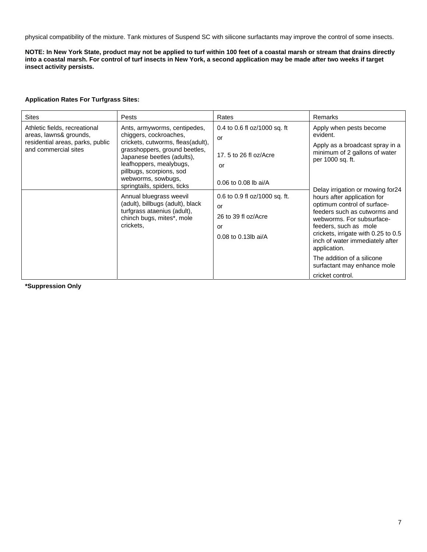physical compatibility of the mixture. Tank mixtures of Suspend SC with silicone surfactants may improve the control of some insects.

**NOTE: In New York State, product may not be applied to turf within 100 feet of a coastal marsh or stream that drains directly into a coastal marsh. For control of turf insects in New York, a second application may be made after two weeks if target insect activity persists.** 

#### **Application Rates For Turfgrass Sites:**

| <b>Sites</b>                                                                                                        | <b>Pests</b>                                                                                                                                                                                                                                                                                                                                                                                                   | Rates                                                                                                                                                                                         | Remarks                                                                                                                                                                                                                                                                                                                                                                                                                                                                                         |
|---------------------------------------------------------------------------------------------------------------------|----------------------------------------------------------------------------------------------------------------------------------------------------------------------------------------------------------------------------------------------------------------------------------------------------------------------------------------------------------------------------------------------------------------|-----------------------------------------------------------------------------------------------------------------------------------------------------------------------------------------------|-------------------------------------------------------------------------------------------------------------------------------------------------------------------------------------------------------------------------------------------------------------------------------------------------------------------------------------------------------------------------------------------------------------------------------------------------------------------------------------------------|
| Athletic fields, recreational<br>areas, lawns& grounds,<br>residential areas, parks, public<br>and commercial sites | Ants, armyworms, centipedes,<br>chiggers, cockroaches,<br>crickets, cutworms, fleas(adult),<br>grasshoppers, ground beetles,<br>Japanese beetles (adults),<br>leafhoppers, mealybugs,<br>pillbugs, scorpions, sod<br>webworms, sowbugs,<br>springtails, spiders, ticks<br>Annual bluegrass weevil<br>(adult), billbugs (adult), black<br>turfgrass ataenius (adult),<br>chinch bugs, mites*, mole<br>crickets, | 0.4 to 0.6 fl $oz/1000$ sq. ft<br>or<br>17, 5 to 26 fl $oz/Acce$<br>or<br>$0.06$ to $0.08$ lb ai/A<br>0.6 to 0.9 fl oz/1000 sq. ft.<br>or<br>26 to 39 fl oz/Acre<br>or<br>0.08 to 0.13lb ai/A | Apply when pests become<br>evident.<br>Apply as a broadcast spray in a<br>minimum of 2 gallons of water<br>per 1000 sq. ft.<br>Delay irrigation or mowing for 24<br>hours after application for<br>optimum control of surface-<br>feeders such as cutworms and<br>webworms. For subsurface-<br>feeders, such as mole<br>crickets, irrigate with 0.25 to 0.5<br>inch of water immediately after<br>application.<br>The addition of a silicone<br>surfactant may enhance mole<br>cricket control. |

**\*Suppression Only**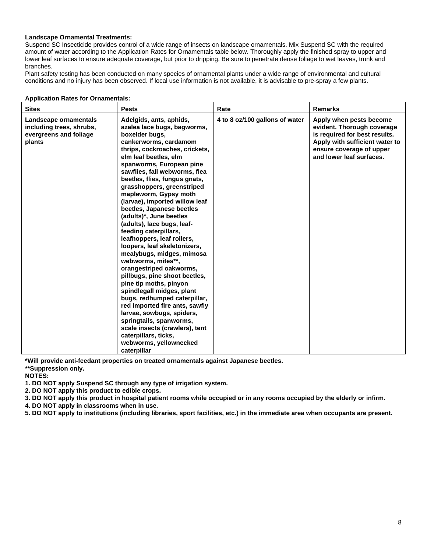#### **Landscape Ornamental Treatments:**

Suspend SC Insecticide provides control of a wide range of insects on landscape ornamentals. Mix Suspend SC with the required amount of water according to the Application Rates for Ornamentals table below. Thoroughly apply the finished spray to upper and lower leaf surfaces to ensure adequate coverage, but prior to dripping. Be sure to penetrate dense foliage to wet leaves, trunk and branches.

Plant safety testing has been conducted on many species of ornamental plants under a wide range of environmental and cultural conditions and no injury has been observed. If local use information is not available, it is advisable to pre-spray a few plants.

| <b>Sites</b>                                                                          | <b>Pests</b>                                                                                                                                                                                                                                                                                                                                                                                                                                                                                                                                                                                                                                                                                                                                                                                                                                                                                                                        | Rate                           | <b>Remarks</b>                                                                                                                                                                   |
|---------------------------------------------------------------------------------------|-------------------------------------------------------------------------------------------------------------------------------------------------------------------------------------------------------------------------------------------------------------------------------------------------------------------------------------------------------------------------------------------------------------------------------------------------------------------------------------------------------------------------------------------------------------------------------------------------------------------------------------------------------------------------------------------------------------------------------------------------------------------------------------------------------------------------------------------------------------------------------------------------------------------------------------|--------------------------------|----------------------------------------------------------------------------------------------------------------------------------------------------------------------------------|
| Landscape ornamentals<br>including trees, shrubs,<br>evergreens and foliage<br>plants | Adelgids, ants, aphids,<br>azalea lace bugs, bagworms,<br>boxelder bugs,<br>cankerworms, cardamom<br>thrips, cockroaches, crickets,<br>elm leaf beetles, elm<br>spanworms, European pine<br>sawflies, fall webworms, flea<br>beetles, flies, fungus gnats,<br>grasshoppers, greenstriped<br>mapleworm, Gypsy moth<br>(larvae), imported willow leaf<br>beetles, Japanese beetles<br>(adults)*, June beetles<br>(adults), lace bugs, leaf-<br>feeding caterpillars,<br>leafhoppers, leaf rollers,<br>loopers, leaf skeletonizers,<br>mealybugs, midges, mimosa<br>webworms, mites**,<br>orangestriped oakworms,<br>pillbugs, pine shoot beetles,<br>pine tip moths, pinyon<br>spindlegall midges, plant<br>bugs, redhumped caterpillar,<br>red imported fire ants, sawfly<br>larvae, sowbugs, spiders,<br>springtails, spanworms,<br>scale insects (crawlers), tent<br>caterpillars, ticks,<br>webworms, yellownecked<br>caterpillar | 4 to 8 oz/100 gallons of water | Apply when pests become<br>evident. Thorough coverage<br>is required for best results.<br>Apply with sufficient water to<br>ensure coverage of upper<br>and lower leaf surfaces. |

**Application Rates for Ornamentals:** 

**\*Will provide anti-feedant properties on treated ornamentals against Japanese beetles.** 

**\*\*Suppression only.** 

**NOTES:** 

**1. DO NOT apply Suspend SC through any type of irrigation system.** 

**2. DO NOT apply this product to edible crops.** 

**3. DO NOT apply this product in hospital patient rooms while occupied or in any rooms occupied by the elderly or infirm.** 

**4. DO NOT apply in classrooms when in use.** 

**5. DO NOT apply to institutions (including libraries, sport facilities, etc.) in the immediate area when occupants are present.**